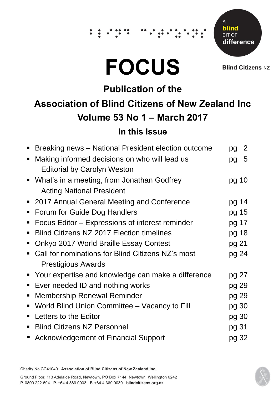## ∵.

# **FOCUS**

Δ blind **BIT OF** difference

**Blind Citizens NZ** 

## **Publication of the Association of Blind Citizens of New Zealand Inc Volume 53 No 1 – March 2017**

#### **In this Issue**

|                                                      | pg                                                  | 2 |
|------------------------------------------------------|-----------------------------------------------------|---|
| Making informed decisions on who will lead us        | pg                                                  | 5 |
| <b>Editorial by Carolyn Weston</b>                   |                                                     |   |
| • What's in a meeting, from Jonathan Godfrey         | pg 10                                               |   |
| <b>Acting National President</b>                     |                                                     |   |
| • 2017 Annual General Meeting and Conference         | pg 14                                               |   |
| Forum for Guide Dog Handlers                         | pg 15                                               |   |
| Focus Editor – Expressions of interest reminder      | pg 17                                               |   |
| <b>Blind Citizens NZ 2017 Election timelines</b>     | pg 18                                               |   |
| Onkyo 2017 World Braille Essay Contest               | pg 21                                               |   |
| Call for nominations for Blind Citizens NZ's most    | pg 24                                               |   |
| <b>Prestigious Awards</b>                            |                                                     |   |
| • Your expertise and knowledge can make a difference | pg 27                                               |   |
| Ever needed ID and nothing works                     | pg 29                                               |   |
| <b>Membership Renewal Reminder</b>                   | pg 29                                               |   |
| World Blind Union Committee – Vacancy to Fill        | pg 30                                               |   |
| Letters to the Editor                                | pg 30                                               |   |
| <b>Blind Citizens NZ Personnel</b>                   | pg 31                                               |   |
| ■ Acknowledgement of Financial Support               | pg 32                                               |   |
|                                                      | Breaking news - National President election outcome |   |

Charity No.CC41040 Association of Blind Citizens of New Zealand Inc.

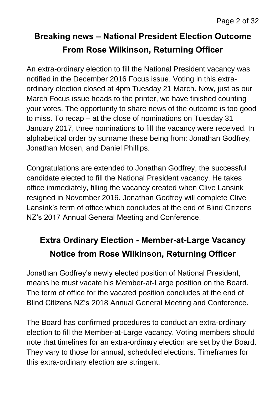## **Breaking news – National President Election Outcome From Rose Wilkinson, Returning Officer**

An extra-ordinary election to fill the National President vacancy was notified in the December 2016 Focus issue. Voting in this extraordinary election closed at 4pm Tuesday 21 March. Now, just as our March Focus issue heads to the printer, we have finished counting your votes. The opportunity to share news of the outcome is too good to miss. To recap – at the close of nominations on Tuesday 31 January 2017, three nominations to fill the vacancy were received. In alphabetical order by surname these being from: Jonathan Godfrey, Jonathan Mosen, and Daniel Phillips.

Congratulations are extended to Jonathan Godfrey, the successful candidate elected to fill the National President vacancy. He takes office immediately, filling the vacancy created when Clive Lansink resigned in November 2016. Jonathan Godfrey will complete Clive Lansink's term of office which concludes at the end of Blind Citizens NZ's 2017 Annual General Meeting and Conference.

## **Extra Ordinary Election - Member-at-Large Vacancy Notice from Rose Wilkinson, Returning Officer**

Jonathan Godfrey's newly elected position of National President, means he must vacate his Member-at-Large position on the Board. The term of office for the vacated position concludes at the end of Blind Citizens NZ's 2018 Annual General Meeting and Conference.

The Board has confirmed procedures to conduct an extra-ordinary election to fill the Member-at-Large vacancy. Voting members should note that timelines for an extra-ordinary election are set by the Board. They vary to those for annual, scheduled elections. Timeframes for this extra-ordinary election are stringent.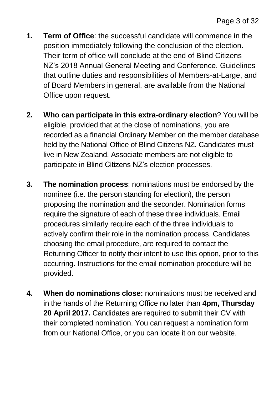- **1. Term of Office**: the successful candidate will commence in the position immediately following the conclusion of the election. Their term of office will conclude at the end of Blind Citizens NZ's 2018 Annual General Meeting and Conference. Guidelines that outline duties and responsibilities of Members-at-Large, and of Board Members in general, are available from the National Office upon request.
- **2. Who can participate in this extra-ordinary election**? You will be eligible, provided that at the close of nominations, you are recorded as a financial Ordinary Member on the member database held by the National Office of Blind Citizens NZ. Candidates must live in New Zealand. Associate members are not eligible to participate in Blind Citizens NZ's election processes.
- **3. The nomination process**: nominations must be endorsed by the nominee (i.e. the person standing for election), the person proposing the nomination and the seconder. Nomination forms require the signature of each of these three individuals. Email procedures similarly require each of the three individuals to actively confirm their role in the nomination process. Candidates choosing the email procedure, are required to contact the Returning Officer to notify their intent to use this option, prior to this occurring. Instructions for the email nomination procedure will be provided.
- **4. When do nominations close:** nominations must be received and in the hands of the Returning Office no later than **4pm, Thursday 20 April 2017.** Candidates are required to submit their CV with their completed nomination. You can request a nomination form from our National Office, or you can locate it on our website.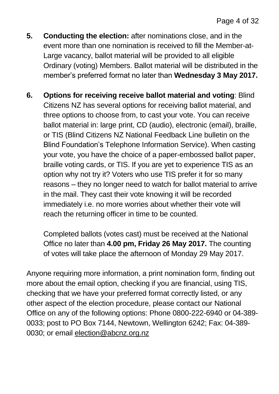- **5. Conducting the election:** after nominations close, and in the event more than one nomination is received to fill the Member-at-Large vacancy, ballot material will be provided to all eligible Ordinary (voting) Members. Ballot material will be distributed in the member's preferred format no later than **Wednesday 3 May 2017.**
- **6. Options for receiving receive ballot material and voting**: Blind Citizens NZ has several options for receiving ballot material, and three options to choose from, to cast your vote. You can receive ballot material in: large print, CD (audio), electronic (email), braille, or TIS (Blind Citizens NZ National Feedback Line bulletin on the Blind Foundation's Telephone Information Service). When casting your vote, you have the choice of a paper-embossed ballot paper, braille voting cards, or TIS. If you are yet to experience TIS as an option why not try it? Voters who use TIS prefer it for so many reasons – they no longer need to watch for ballot material to arrive in the mail. They cast their vote knowing it will be recorded immediately i.e. no more worries about whether their vote will reach the returning officer in time to be counted.

Completed ballots (votes cast) must be received at the National Office no later than **4.00 pm, Friday 26 May 2017.** The counting of votes will take place the afternoon of Monday 29 May 2017.

Anyone requiring more information, a print nomination form, finding out more about the email option, checking if you are financial, using TIS, checking that we have your preferred format correctly listed, or any other aspect of the election procedure, please contact our National Office on any of the following options: Phone 0800-222-6940 or 04-389- 0033; post to PO Box 7144, Newtown, Wellington 6242; Fax: 04-389- 0030; or email [election@abcnz.org.nz](mailto:election@abcnz.org.nz)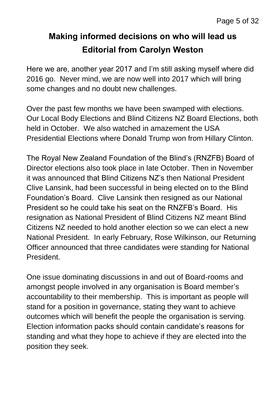## **Making informed decisions on who will lead us Editorial from Carolyn Weston**

Here we are, another year 2017 and I'm still asking myself where did 2016 go. Never mind, we are now well into 2017 which will bring some changes and no doubt new challenges.

Over the past few months we have been swamped with elections. Our Local Body Elections and Blind Citizens NZ Board Elections, both held in October. We also watched in amazement the USA Presidential Elections where Donald Trump won from Hillary Clinton.

The Royal New Zealand Foundation of the Blind's (RNZFB) Board of Director elections also took place in late October. Then in November it was announced that Blind Citizens NZ's then National President Clive Lansink, had been successful in being elected on to the Blind Foundation's Board. Clive Lansink then resigned as our National President so he could take his seat on the RNZFB's Board. His resignation as National President of Blind Citizens NZ meant Blind Citizens NZ needed to hold another election so we can elect a new National President. In early February, Rose Wilkinson, our Returning Officer announced that three candidates were standing for National President.

One issue dominating discussions in and out of Board-rooms and amongst people involved in any organisation is Board member's accountability to their membership. This is important as people will stand for a position in governance, stating they want to achieve outcomes which will benefit the people the organisation is serving. Election information packs should contain candidate's reasons for standing and what they hope to achieve if they are elected into the position they seek.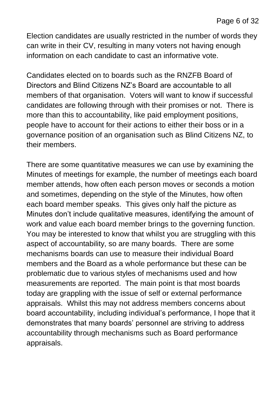Election candidates are usually restricted in the number of words they can write in their CV, resulting in many voters not having enough information on each candidate to cast an informative vote.

Candidates elected on to boards such as the RNZFB Board of Directors and Blind Citizens NZ's Board are accountable to all members of that organisation. Voters will want to know if successful candidates are following through with their promises or not. There is more than this to accountability, like paid employment positions, people have to account for their actions to either their boss or in a governance position of an organisation such as Blind Citizens NZ, to their members.

There are some quantitative measures we can use by examining the Minutes of meetings for example, the number of meetings each board member attends, how often each person moves or seconds a motion and sometimes, depending on the style of the Minutes, how often each board member speaks. This gives only half the picture as Minutes don't include qualitative measures, identifying the amount of work and value each board member brings to the governing function. You may be interested to know that whilst you are struggling with this aspect of accountability, so are many boards. There are some mechanisms boards can use to measure their individual Board members and the Board as a whole performance but these can be problematic due to various styles of mechanisms used and how measurements are reported. The main point is that most boards today are grappling with the issue of self or external performance appraisals. Whilst this may not address members concerns about board accountability, including individual's performance, I hope that it demonstrates that many boards' personnel are striving to address accountability through mechanisms such as Board performance appraisals.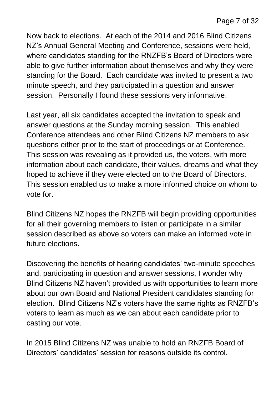Now back to elections. At each of the 2014 and 2016 Blind Citizens NZ's Annual General Meeting and Conference, sessions were held, where candidates standing for the RNZFB's Board of Directors were able to give further information about themselves and why they were standing for the Board. Each candidate was invited to present a two minute speech, and they participated in a question and answer session. Personally I found these sessions very informative.

Last year, all six candidates accepted the invitation to speak and answer questions at the Sunday morning session. This enabled Conference attendees and other Blind Citizens NZ members to ask questions either prior to the start of proceedings or at Conference. This session was revealing as it provided us, the voters, with more information about each candidate, their values, dreams and what they hoped to achieve if they were elected on to the Board of Directors. This session enabled us to make a more informed choice on whom to vote for.

Blind Citizens NZ hopes the RNZFB will begin providing opportunities for all their governing members to listen or participate in a similar session described as above so voters can make an informed vote in future elections.

Discovering the benefits of hearing candidates' two-minute speeches and, participating in question and answer sessions, I wonder why Blind Citizens NZ haven't provided us with opportunities to learn more about our own Board and National President candidates standing for election. Blind Citizens NZ's voters have the same rights as RNZFB's voters to learn as much as we can about each candidate prior to casting our vote.

In 2015 Blind Citizens NZ was unable to hold an RNZFB Board of Directors' candidates' session for reasons outside its control.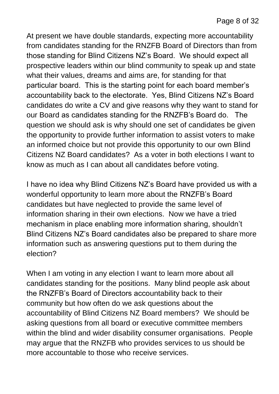At present we have double standards, expecting more accountability from candidates standing for the RNZFB Board of Directors than from those standing for Blind Citizens NZ's Board. We should expect all prospective leaders within our blind community to speak up and state what their values, dreams and aims are, for standing for that particular board. This is the starting point for each board member's accountability back to the electorate. Yes, Blind Citizens NZ's Board candidates do write a CV and give reasons why they want to stand for our Board as candidates standing for the RNZFB's Board do. The question we should ask is why should one set of candidates be given the opportunity to provide further information to assist voters to make an informed choice but not provide this opportunity to our own Blind Citizens NZ Board candidates? As a voter in both elections I want to know as much as I can about all candidates before voting.

I have no idea why Blind Citizens NZ's Board have provided us with a wonderful opportunity to learn more about the RNZFB's Board candidates but have neglected to provide the same level of information sharing in their own elections. Now we have a tried mechanism in place enabling more information sharing, shouldn't Blind Citizens NZ's Board candidates also be prepared to share more information such as answering questions put to them during the election?

When I am voting in any election I want to learn more about all candidates standing for the positions. Many blind people ask about the RNZFB's Board of Directors accountability back to their community but how often do we ask questions about the accountability of Blind Citizens NZ Board members? We should be asking questions from all board or executive committee members within the blind and wider disability consumer organisations. People may argue that the RNZFB who provides services to us should be more accountable to those who receive services.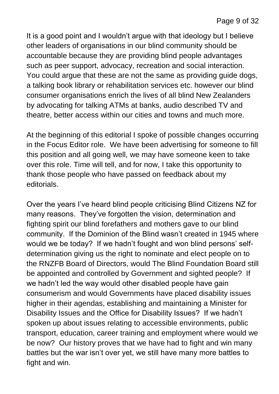It is a good point and I wouldn't argue with that ideology but I believe other leaders of organisations in our blind community should be accountable because they are providing blind people advantages such as peer support, advocacy, recreation and social interaction. You could argue that these are not the same as providing guide dogs, a talking book library or rehabilitation services etc. however our blind consumer organisations enrich the lives of all blind New Zealanders by advocating for talking ATMs at banks, audio described TV and theatre, better access within our cities and towns and much more.

At the beginning of this editorial I spoke of possible changes occurring in the Focus Editor role. We have been advertising for someone to fill this position and all going well, we may have someone keen to take over this role. Time will tell, and for now, I take this opportunity to thank those people who have passed on feedback about my editorials.

Over the years I've heard blind people criticising Blind Citizens NZ for many reasons. They've forgotten the vision, determination and fighting spirit our blind forefathers and mothers gave to our blind community. If the Dominion of the Blind wasn't created in 1945 where would we be today? If we hadn't fought and won blind persons' selfdetermination giving us the right to nominate and elect people on to the RNZFB Board of Directors, would The Blind Foundation Board still be appointed and controlled by Government and sighted people? If we hadn't led the way would other disabled people have gain consumerism and would Governments have placed disability issues higher in their agendas, establishing and maintaining a Minister for Disability Issues and the Office for Disability Issues? If we hadn't spoken up about issues relating to accessible environments, public transport, education, career training and employment where would we be now? Our history proves that we have had to fight and win many battles but the war isn't over yet, we still have many more battles to fight and win.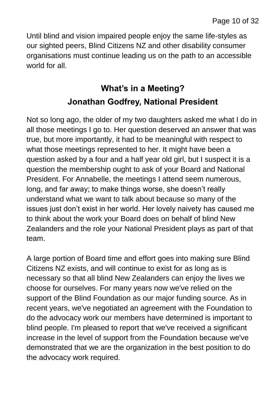Until blind and vision impaired people enjoy the same life-styles as our sighted peers, Blind Citizens NZ and other disability consumer organisations must continue leading us on the path to an accessible world for all

## **What's in a Meeting? Jonathan Godfrey, National President**

Not so long ago, the older of my two daughters asked me what I do in all those meetings I go to. Her question deserved an answer that was true, but more importantly, it had to be meaningful with respect to what those meetings represented to her. It might have been a question asked by a four and a half year old girl, but I suspect it is a question the membership ought to ask of your Board and National President. For Annabelle, the meetings I attend seem numerous, long, and far away; to make things worse, she doesn't really understand what we want to talk about because so many of the issues just don't exist in her world. Her lovely naivety has caused me to think about the work your Board does on behalf of blind New Zealanders and the role your National President plays as part of that team.

A large portion of Board time and effort goes into making sure Blind Citizens NZ exists, and will continue to exist for as long as is necessary so that all blind New Zealanders can enjoy the lives we choose for ourselves. For many years now we've relied on the support of the Blind Foundation as our major funding source. As in recent years, we've negotiated an agreement with the Foundation to do the advocacy work our members have determined is important to blind people. I'm pleased to report that we've received a significant increase in the level of support from the Foundation because we've demonstrated that we are the organization in the best position to do the advocacy work required.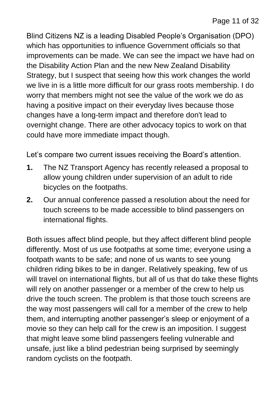Blind Citizens NZ is a leading Disabled People's Organisation (DPO) which has opportunities to influence Government officials so that improvements can be made. We can see the impact we have had on the Disability Action Plan and the new New Zealand Disability Strategy, but I suspect that seeing how this work changes the world we live in is a little more difficult for our grass roots membership. I do worry that members might not see the value of the work we do as having a positive impact on their everyday lives because those changes have a long-term impact and therefore don't lead to overnight change. There are other advocacy topics to work on that could have more immediate impact though.

Let's compare two current issues receiving the Board's attention.

- **1.** The NZ Transport Agency has recently released a proposal to allow young children under supervision of an adult to ride bicycles on the footpaths.
- **2.** Our annual conference passed a resolution about the need for touch screens to be made accessible to blind passengers on international flights.

Both issues affect blind people, but they affect different blind people differently. Most of us use footpaths at some time; everyone using a footpath wants to be safe; and none of us wants to see young children riding bikes to be in danger. Relatively speaking, few of us will travel on international flights, but all of us that do take these flights will rely on another passenger or a member of the crew to help us drive the touch screen. The problem is that those touch screens are the way most passengers will call for a member of the crew to help them, and interrupting another passenger's sleep or enjoyment of a movie so they can help call for the crew is an imposition. I suggest that might leave some blind passengers feeling vulnerable and unsafe, just like a blind pedestrian being surprised by seemingly random cyclists on the footpath.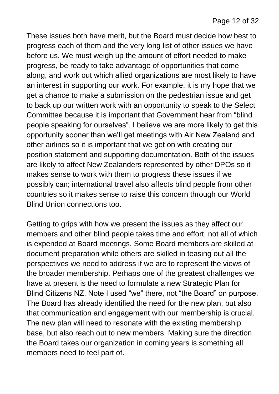These issues both have merit, but the Board must decide how best to progress each of them and the very long list of other issues we have before us. We must weigh up the amount of effort needed to make progress, be ready to take advantage of opportunities that come along, and work out which allied organizations are most likely to have an interest in supporting our work. For example, it is my hope that we get a chance to make a submission on the pedestrian issue and get to back up our written work with an opportunity to speak to the Select Committee because it is important that Government hear from "blind people speaking for ourselves". I believe we are more likely to get this opportunity sooner than we'll get meetings with Air New Zealand and other airlines so it is important that we get on with creating our position statement and supporting documentation. Both of the issues are likely to affect New Zealanders represented by other DPOs so it makes sense to work with them to progress these issues if we possibly can; international travel also affects blind people from other countries so it makes sense to raise this concern through our World Blind Union connections too.

Getting to grips with how we present the issues as they affect our members and other blind people takes time and effort, not all of which is expended at Board meetings. Some Board members are skilled at document preparation while others are skilled in teasing out all the perspectives we need to address if we are to represent the views of the broader membership. Perhaps one of the greatest challenges we have at present is the need to formulate a new Strategic Plan for Blind Citizens NZ. Note I used "we" there, not "the Board" on purpose. The Board has already identified the need for the new plan, but also that communication and engagement with our membership is crucial. The new plan will need to resonate with the existing membership base, but also reach out to new members. Making sure the direction the Board takes our organization in coming years is something all members need to feel part of.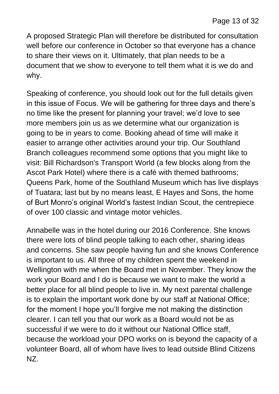A proposed Strategic Plan will therefore be distributed for consultation well before our conference in October so that everyone has a chance to share their views on it. Ultimately, that plan needs to be a document that we show to everyone to tell them what it is we do and why.

Speaking of conference, you should look out for the full details given in this issue of Focus. We will be gathering for three days and there's no time like the present for planning your travel; we'd love to see more members join us as we determine what our organization is going to be in years to come. Booking ahead of time will make it easier to arrange other activities around your trip. Our Southland Branch colleagues recommend some options that you might like to visit: Bill Richardson's Transport World (a few blocks along from the Ascot Park Hotel) where there is a café with themed bathrooms; Queens Park, home of the Southland Museum which has live displays of Tuatara; last but by no means least, E Hayes and Sons, the home of Burt Monro's original World's fastest Indian Scout, the centrepiece of over 100 classic and vintage motor vehicles.

Annabelle was in the hotel during our 2016 Conference. She knows there were lots of blind people talking to each other, sharing ideas and concerns. She saw people having fun and she knows Conference is important to us. All three of my children spent the weekend in Wellington with me when the Board met in November. They know the work your Board and I do is because we want to make the world a better place for all blind people to live in. My next parental challenge is to explain the important work done by our staff at National Office; for the moment I hope you'll forgive me not making the distinction clearer. I can tell you that our work as a Board would not be as successful if we were to do it without our National Office staff, because the workload your DPO works on is beyond the capacity of a volunteer Board, all of whom have lives to lead outside Blind Citizens NZ.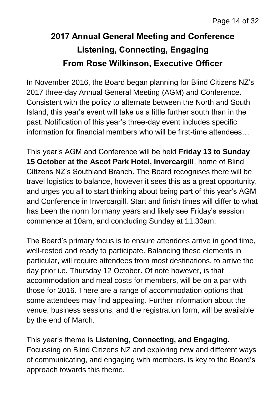## **2017 Annual General Meeting and Conference Listening, Connecting, Engaging From Rose Wilkinson, Executive Officer**

In November 2016, the Board began planning for Blind Citizens NZ's 2017 three-day Annual General Meeting (AGM) and Conference. Consistent with the policy to alternate between the North and South Island, this year's event will take us a little further south than in the past. Notification of this year's three-day event includes specific information for financial members who will be first-time attendees…

This year's AGM and Conference will be held **Friday 13 to Sunday 15 October at the Ascot Park Hotel, Invercargill**, home of Blind Citizens NZ's Southland Branch. The Board recognises there will be travel logistics to balance, however it sees this as a great opportunity, and urges you all to start thinking about being part of this year's AGM and Conference in Invercargill. Start and finish times will differ to what has been the norm for many years and likely see Friday's session commence at 10am, and concluding Sunday at 11.30am.

The Board's primary focus is to ensure attendees arrive in good time, well-rested and ready to participate. Balancing these elements in particular, will require attendees from most destinations, to arrive the day prior i.e. Thursday 12 October. Of note however, is that accommodation and meal costs for members, will be on a par with those for 2016. There are a range of accommodation options that some attendees may find appealing. Further information about the venue, business sessions, and the registration form, will be available by the end of March.

This year's theme is **Listening, Connecting, and Engaging.**  Focussing on Blind Citizens NZ and exploring new and different ways of communicating, and engaging with members, is key to the Board's approach towards this theme.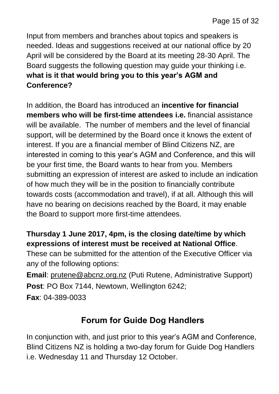Input from members and branches about topics and speakers is needed. Ideas and suggestions received at our national office by 20 April will be considered by the Board at its meeting 28-30 April. The Board suggests the following question may guide your thinking i.e. **what is it that would bring you to this year's AGM and Conference?**

In addition, the Board has introduced an **incentive for financial members who will be first-time attendees i.e.** financial assistance will be available. The number of members and the level of financial support, will be determined by the Board once it knows the extent of interest. If you are a financial member of Blind Citizens NZ, are interested in coming to this year's AGM and Conference, and this will be your first time, the Board wants to hear from you. Members submitting an expression of interest are asked to include an indication of how much they will be in the position to financially contribute towards costs (accommodation and travel), if at all. Although this will have no bearing on decisions reached by the Board, it may enable the Board to support more first-time attendees.

#### **Thursday 1 June 2017, 4pm, is the closing date/time by which expressions of interest must be received at National Office**.

These can be submitted for the attention of the Executive Officer via any of the following options:

**Email**: [prutene@abcnz.org.nz](mailto:prutene@abcnz.org.nz) (Puti Rutene, Administrative Support) **Post**: PO Box 7144, Newtown, Wellington 6242; **Fax**: 04-389-0033

#### **Forum for Guide Dog Handlers**

In conjunction with, and just prior to this year's AGM and Conference, Blind Citizens NZ is holding a two-day forum for Guide Dog Handlers i.e. Wednesday 11 and Thursday 12 October.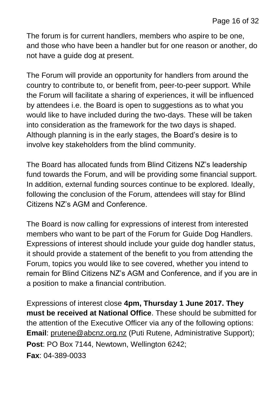The forum is for current handlers, members who aspire to be one, and those who have been a handler but for one reason or another, do not have a guide dog at present.

The Forum will provide an opportunity for handlers from around the country to contribute to, or benefit from, peer-to-peer support. While the Forum will facilitate a sharing of experiences, it will be influenced by attendees i.e. the Board is open to suggestions as to what you would like to have included during the two-days. These will be taken into consideration as the framework for the two days is shaped. Although planning is in the early stages, the Board's desire is to involve key stakeholders from the blind community.

The Board has allocated funds from Blind Citizens NZ's leadership fund towards the Forum, and will be providing some financial support. In addition, external funding sources continue to be explored. Ideally, following the conclusion of the Forum, attendees will stay for Blind Citizens NZ's AGM and Conference.

The Board is now calling for expressions of interest from interested members who want to be part of the Forum for Guide Dog Handlers. Expressions of interest should include your guide dog handler status, it should provide a statement of the benefit to you from attending the Forum, topics you would like to see covered, whether you intend to remain for Blind Citizens NZ's AGM and Conference, and if you are in a position to make a financial contribution.

Expressions of interest close **4pm, Thursday 1 June 2017. They must be received at National Office**. These should be submitted for the attention of the Executive Officer via any of the following options: **Email**: [prutene@abcnz.org.nz](mailto:prutene@abcnz.org.nz) (Puti Rutene, Administrative Support); **Post**: PO Box 7144, Newtown, Wellington 6242; **Fax**: 04-389-0033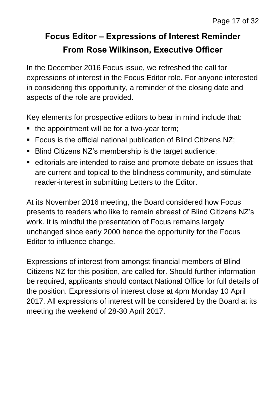## **Focus Editor – Expressions of Interest Reminder From Rose Wilkinson, Executive Officer**

In the December 2016 Focus issue, we refreshed the call for expressions of interest in the Focus Editor role. For anyone interested in considering this opportunity, a reminder of the closing date and aspects of the role are provided.

Key elements for prospective editors to bear in mind include that:

- the appointment will be for a two-year term;
- Focus is the official national publication of Blind Citizens NZ;
- Blind Citizens NZ's membership is the target audience;
- editorials are intended to raise and promote debate on issues that are current and topical to the blindness community, and stimulate reader-interest in submitting Letters to the Editor.

At its November 2016 meeting, the Board considered how Focus presents to readers who like to remain abreast of Blind Citizens NZ's work. It is mindful the presentation of Focus remains largely unchanged since early 2000 hence the opportunity for the Focus Editor to influence change.

Expressions of interest from amongst financial members of Blind Citizens NZ for this position, are called for. Should further information be required, applicants should contact National Office for full details of the position. Expressions of interest close at 4pm Monday 10 April 2017. All expressions of interest will be considered by the Board at its meeting the weekend of 28-30 April 2017.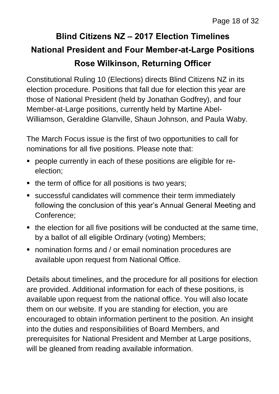## **Blind Citizens NZ – 2017 Election Timelines National President and Four Member-at-Large Positions Rose Wilkinson, Returning Officer**

Constitutional Ruling 10 (Elections) directs Blind Citizens NZ in its election procedure. Positions that fall due for election this year are those of National President (held by Jonathan Godfrey), and four Member-at-Large positions, currently held by Martine Abel-Williamson, Geraldine Glanville, Shaun Johnson, and Paula Waby.

The March Focus issue is the first of two opportunities to call for nominations for all five positions. Please note that:

- people currently in each of these positions are eligible for reelection;
- $\blacksquare$  the term of office for all positions is two years;
- successful candidates will commence their term immediately following the conclusion of this year's Annual General Meeting and Conference;
- the election for all five positions will be conducted at the same time, by a ballot of all eligible Ordinary (voting) Members;
- nomination forms and / or email nomination procedures are available upon request from National Office.

Details about timelines, and the procedure for all positions for election are provided. Additional information for each of these positions, is available upon request from the national office. You will also locate them on our website. If you are standing for election, you are encouraged to obtain information pertinent to the position. An insight into the duties and responsibilities of Board Members, and prerequisites for National President and Member at Large positions, will be gleaned from reading available information.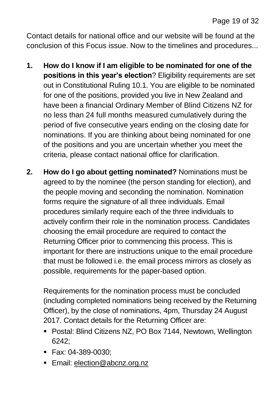Contact details for national office and our website will be found at the conclusion of this Focus issue. Now to the timelines and procedures...

- **1. How do I know if I am eligible to be nominated for one of the positions in this year's election**? Eligibility requirements are set out in Constitutional Ruling 10.1. You are eligible to be nominated for one of the positions, provided you live in New Zealand and have been a financial Ordinary Member of Blind Citizens NZ for no less than 24 full months measured cumulatively during the period of five consecutive years ending on the closing date for nominations. If you are thinking about being nominated for one of the positions and you are uncertain whether you meet the criteria, please contact national office for clarification.
- **2. How do I go about getting nominated?** Nominations must be agreed to by the nominee (the person standing for election), and the people moving and seconding the nomination. Nomination forms require the signature of all three individuals. Email procedures similarly require each of the three individuals to actively confirm their role in the nomination process. Candidates choosing the email procedure are required to contact the Returning Officer prior to commencing this process. This is important for there are instructions unique to the email procedure that must be followed i.e. the email process mirrors as closely as possible, requirements for the paper-based option.

Requirements for the nomination process must be concluded (including completed nominations being received by the Returning Officer), by the close of nominations, 4pm, Thursday 24 August 2017. Contact details for the Returning Officer are:

- Postal: Blind Citizens NZ, PO Box 7144, Newtown, Wellington 6242;
- Fax: 04-389-0030;
- **Email: [election@abcnz.org.nz](mailto:election@abcnz.org.nz)**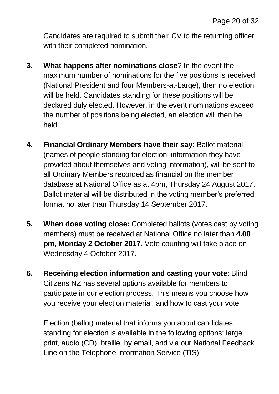Candidates are required to submit their CV to the returning officer with their completed nomination.

- **3. What happens after nominations close**? In the event the maximum number of nominations for the five positions is received (National President and four Members-at-Large), then no election will be held. Candidates standing for these positions will be declared duly elected. However, in the event nominations exceed the number of positions being elected, an election will then be held.
- **4. Financial Ordinary Members have their say:** Ballot material (names of people standing for election, information they have provided about themselves and voting information), will be sent to all Ordinary Members recorded as financial on the member database at National Office as at 4pm, Thursday 24 August 2017. Ballot material will be distributed in the voting member's preferred format no later than Thursday 14 September 2017.
- **5. When does voting close:** Completed ballots (votes cast by voting members) must be received at National Office no later than **4.00 pm, Monday 2 October 2017**. Vote counting will take place on Wednesday 4 October 2017.
- **6. Receiving election information and casting your vote**: Blind Citizens NZ has several options available for members to participate in our election process. This means you choose how you receive your election material, and how to cast your vote.

Election (ballot) material that informs you about candidates standing for election is available in the following options: large print, audio (CD), braille, by email, and via our National Feedback Line on the Telephone Information Service (TIS).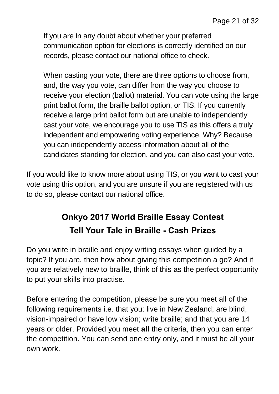If you are in any doubt about whether your preferred communication option for elections is correctly identified on our records, please contact our national office to check.

When casting your vote, there are three options to choose from, and, the way you vote, can differ from the way you choose to receive your election (ballot) material. You can vote using the large print ballot form, the braille ballot option, or TIS. If you currently receive a large print ballot form but are unable to independently cast your vote, we encourage you to use TIS as this offers a truly independent and empowering voting experience. Why? Because you can independently access information about all of the candidates standing for election, and you can also cast your vote.

If you would like to know more about using TIS, or you want to cast your vote using this option, and you are unsure if you are registered with us to do so, please contact our national office.

## **Onkyo 2017 World Braille Essay Contest Tell Your Tale in Braille - Cash Prizes**

Do you write in braille and enjoy writing essays when guided by a topic? If you are, then how about giving this competition a go? And if you are relatively new to braille, think of this as the perfect opportunity to put your skills into practise.

Before entering the competition, please be sure you meet all of the following requirements i.e. that you: live in New Zealand; are blind, vision-impaired or have low vision; write braille; and that you are 14 years or older. Provided you meet **all** the criteria, then you can enter the competition. You can send one entry only, and it must be all your own work.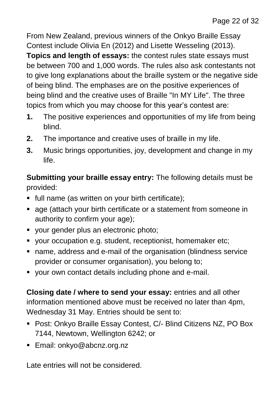From New Zealand, previous winners of the Onkyo Braille Essay Contest include Olivia En (2012) and Lisette Wesseling (2013). **Topics and length of essays:** the contest rules state essays must be between 700 and 1,000 words. The rules also ask contestants not to give long explanations about the braille system or the negative side of being blind. The emphases are on the positive experiences of being blind and the creative uses of Braille "In MY Life". The three topics from which you may choose for this year's contest are:

- **1.** The positive experiences and opportunities of my life from being blind.
- **2.** The importance and creative uses of braille in my life.
- **3.** Music brings opportunities, joy, development and change in my life.

**Submitting your braille essay entry:** The following details must be provided:

- full name (as written on your birth certificate);
- **age (attach your birth certificate or a statement from someone in** authority to confirm your age);
- vour gender plus an electronic photo;
- your occupation e.g. student, receptionist, homemaker etc;
- name, address and e-mail of the organisation (blindness service provider or consumer organisation), you belong to;
- your own contact details including phone and e-mail.

**Closing date / where to send your essay:** entries and all other information mentioned above must be received no later than 4pm, Wednesday 31 May. Entries should be sent to:

- Post: Onkyo Braille Essay Contest, C/- Blind Citizens NZ, PO Box 7144, Newtown, Wellington 6242; or
- Email: onkyo@abcnz.org.nz

Late entries will not be considered.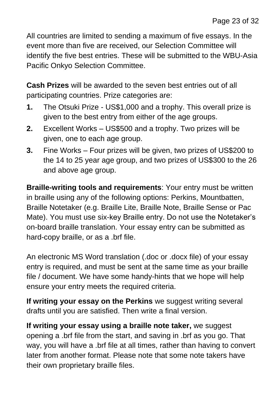All countries are limited to sending a maximum of five essays. In the event more than five are received, our Selection Committee will identify the five best entries. These will be submitted to the WBU-Asia Pacific Onkyo Selection Committee.

**Cash Prizes** will be awarded to the seven best entries out of all participating countries. Prize categories are:

- **1.** The Otsuki Prize US\$1,000 and a trophy. This overall prize is given to the best entry from either of the age groups.
- **2.** Excellent Works US\$500 and a trophy. Two prizes will be given, one to each age group.
- **3.** Fine Works Four prizes will be given, two prizes of US\$200 to the 14 to 25 year age group, and two prizes of US\$300 to the 26 and above age group.

**Braille-writing tools and requirements**: Your entry must be written in braille using any of the following options: Perkins, Mountbatten, Braille Notetaker (e.g. Braille Lite, Braille Note, Braille Sense or Pac Mate). You must use six-key Braille entry. Do not use the Notetaker's on-board braille translation. Your essay entry can be submitted as hard-copy braille, or as a .brf file.

An electronic MS Word translation (.doc or .docx file) of your essay entry is required, and must be sent at the same time as your braille file / document. We have some handy-hints that we hope will help ensure your entry meets the required criteria.

**If writing your essay on the Perkins** we suggest writing several drafts until you are satisfied. Then write a final version.

**If writing your essay using a braille note taker,** we suggest opening a .brf file from the start, and saving in .brf as you go. That way, you will have a .brf file at all times, rather than having to convert later from another format. Please note that some note takers have their own proprietary braille files.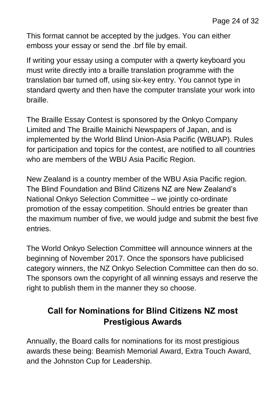This format cannot be accepted by the judges. You can either emboss your essay or send the .brf file by email.

If writing your essay using a computer with a qwerty keyboard you must write directly into a braille translation programme with the translation bar turned off, using six-key entry. You cannot type in standard qwerty and then have the computer translate your work into braille.

The Braille Essay Contest is sponsored by the Onkyo Company Limited and The Braille Mainichi Newspapers of Japan, and is implemented by the World Blind Union-Asia Pacific (WBUAP). Rules for participation and topics for the contest, are notified to all countries who are members of the WBU Asia Pacific Region.

New Zealand is a country member of the WBU Asia Pacific region. The Blind Foundation and Blind Citizens NZ are New Zealand's National Onkyo Selection Committee – we jointly co-ordinate promotion of the essay competition. Should entries be greater than the maximum number of five, we would judge and submit the best five entries.

The World Onkyo Selection Committee will announce winners at the beginning of November 2017. Once the sponsors have publicised category winners, the NZ Onkyo Selection Committee can then do so. The sponsors own the copyright of all winning essays and reserve the right to publish them in the manner they so choose.

## **Call for Nominations for Blind Citizens NZ most Prestigious Awards**

Annually, the Board calls for nominations for its most prestigious awards these being: Beamish Memorial Award, Extra Touch Award, and the Johnston Cup for Leadership.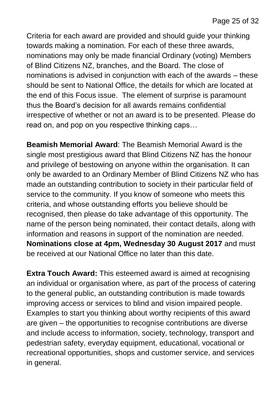Criteria for each award are provided and should guide your thinking towards making a nomination. For each of these three awards, nominations may only be made financial Ordinary (voting) Members of Blind Citizens NZ, branches, and the Board. The close of nominations is advised in conjunction with each of the awards – these should be sent to National Office, the details for which are located at the end of this Focus issue. The element of surprise is paramount thus the Board's decision for all awards remains confidential irrespective of whether or not an award is to be presented. Please do read on, and pop on you respective thinking caps…

**Beamish Memorial Award**: The Beamish Memorial Award is the single most prestigious award that Blind Citizens NZ has the honour and privilege of bestowing on anyone within the organisation. It can only be awarded to an Ordinary Member of Blind Citizens NZ who has made an outstanding contribution to society in their particular field of service to the community. If you know of someone who meets this criteria, and whose outstanding efforts you believe should be recognised, then please do take advantage of this opportunity. The name of the person being nominated, their contact details, along with information and reasons in support of the nomination are needed. **Nominations close at 4pm, Wednesday 30 August 2017** and must be received at our National Office no later than this date.

**Extra Touch Award:** This esteemed award is aimed at recognising an individual or organisation where, as part of the process of catering to the general public, an outstanding contribution is made towards improving access or services to blind and vision impaired people. Examples to start you thinking about worthy recipients of this award are given – the opportunities to recognise contributions are diverse and include access to information, society, technology, transport and pedestrian safety, everyday equipment, educational, vocational or recreational opportunities, shops and customer service, and services in general.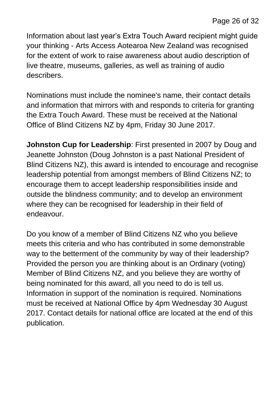Information about last year's Extra Touch Award recipient might guide your thinking - Arts Access Aotearoa New Zealand was recognised for the extent of work to raise awareness about audio description of live theatre, museums, galleries, as well as training of audio describers.

Nominations must include the nominee's name, their contact details and information that mirrors with and responds to criteria for granting the Extra Touch Award. These must be received at the National Office of Blind Citizens NZ by 4pm, Friday 30 June 2017.

**Johnston Cup for Leadership**: First presented in 2007 by Doug and Jeanette Johnston (Doug Johnston is a past National President of Blind Citizens NZ), this award is intended to encourage and recognise leadership potential from amongst members of Blind Citizens NZ; to encourage them to accept leadership responsibilities inside and outside the blindness community; and to develop an environment where they can be recognised for leadership in their field of endeavour.

Do you know of a member of Blind Citizens NZ who you believe meets this criteria and who has contributed in some demonstrable way to the betterment of the community by way of their leadership? Provided the person you are thinking about is an Ordinary (voting) Member of Blind Citizens NZ, and you believe they are worthy of being nominated for this award, all you need to do is tell us. Information in support of the nomination is required. Nominations must be received at National Office by 4pm Wednesday 30 August 2017. Contact details for national office are located at the end of this publication.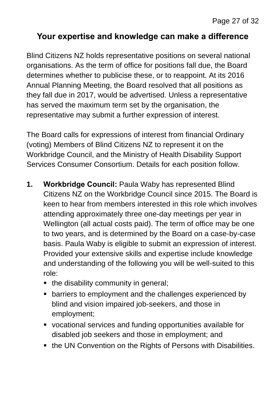#### **Your expertise and knowledge can make a difference**

Blind Citizens NZ holds representative positions on several national organisations. As the term of office for positions fall due, the Board determines whether to publicise these, or to reappoint. At its 2016 Annual Planning Meeting, the Board resolved that all positions as they fall due in 2017, would be advertised. Unless a representative has served the maximum term set by the organisation, the representative may submit a further expression of interest.

The Board calls for expressions of interest from financial Ordinary (voting) Members of Blind Citizens NZ to represent it on the Workbridge Council, and the Ministry of Health Disability Support Services Consumer Consortium. Details for each position follow.

- **1. Workbridge Council:** Paula Waby has represented Blind Citizens NZ on the Workbridge Council since 2015. The Board is keen to hear from members interested in this role which involves attending approximately three one-day meetings per year in Wellington (all actual costs paid). The term of office may be one to two years, and is determined by the Board on a case-by-case basis. Paula Waby is eligible to submit an expression of interest. Provided your extensive skills and expertise include knowledge and understanding of the following you will be well-suited to this role:
	- $\blacksquare$  the disability community in general;
	- **EXEDERE** barriers to employment and the challenges experienced by blind and vision impaired job-seekers, and those in employment;
	- vocational services and funding opportunities available for disabled job seekers and those in employment; and
	- the UN Convention on the Rights of Persons with Disabilities.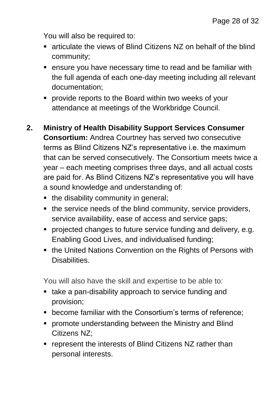You will also be required to:

- articulate the views of Blind Citizens NZ on behalf of the blind community;
- ensure you have necessary time to read and be familiar with the full agenda of each one-day meeting including all relevant documentation;
- **PEDROM** Provide reports to the Board within two weeks of your attendance at meetings of the Workbridge Council.
- **2. Ministry of Health Disability Support Services Consumer Consortium:** Andrea Courtney has served two consecutive terms as Blind Citizens NZ's representative i.e. the maximum that can be served consecutively. The Consortium meets twice a year – each meeting comprises three days, and all actual costs are paid for. As Blind Citizens NZ's representative you will have a sound knowledge and understanding of:
	- the disability community in general;
	- the service needs of the blind community, service providers, service availability, ease of access and service gaps;
	- **Perofected changes to future service funding and delivery, e.g.** Enabling Good Lives, and individualised funding;
	- the United Nations Convention on the Rights of Persons with Disabilities.

You will also have the skill and expertise to be able to:

- take a pan-disability approach to service funding and provision;
- become familiar with the Consortium's terms of reference;
- **promote understanding between the Ministry and Blind** Citizens NZ;
- **•** represent the interests of Blind Citizens NZ rather than personal interests.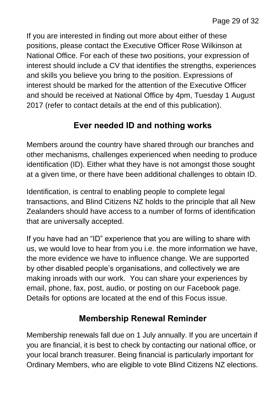If you are interested in finding out more about either of these positions, please contact the Executive Officer Rose Wilkinson at National Office. For each of these two positions, your expression of interest should include a CV that identifies the strengths, experiences and skills you believe you bring to the position. Expressions of interest should be marked for the attention of the Executive Officer and should be received at National Office by 4pm, Tuesday 1 August 2017 (refer to contact details at the end of this publication).

#### **Ever needed ID and nothing works**

Members around the country have shared through our branches and other mechanisms, challenges experienced when needing to produce identification (ID). Either what they have is not amongst those sought at a given time, or there have been additional challenges to obtain ID.

Identification, is central to enabling people to complete legal transactions, and Blind Citizens NZ holds to the principle that all New Zealanders should have access to a number of forms of identification that are universally accepted.

If you have had an "ID" experience that you are willing to share with us, we would love to hear from you i.e. the more information we have, the more evidence we have to influence change. We are supported by other disabled people's organisations, and collectively we are making inroads with our work. You can share your experiences by email, phone, fax, post, audio, or posting on our Facebook page. Details for options are located at the end of this Focus issue.

#### **Membership Renewal Reminder**

Membership renewals fall due on 1 July annually. If you are uncertain if you are financial, it is best to check by contacting our national office, or your local branch treasurer. Being financial is particularly important for Ordinary Members, who are eligible to vote Blind Citizens NZ elections.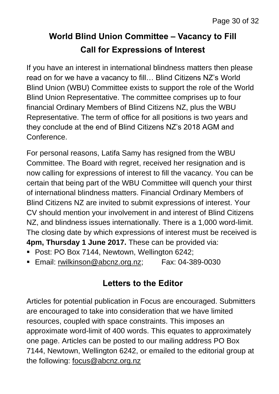## **World Blind Union Committee – Vacancy to Fill Call for Expressions of Interest**

If you have an interest in international blindness matters then please read on for we have a vacancy to fill… Blind Citizens NZ's World Blind Union (WBU) Committee exists to support the role of the World Blind Union Representative. The committee comprises up to four financial Ordinary Members of Blind Citizens NZ, plus the WBU Representative. The term of office for all positions is two years and they conclude at the end of Blind Citizens NZ's 2018 AGM and Conference.

For personal reasons, Latifa Samy has resigned from the WBU Committee. The Board with regret, received her resignation and is now calling for expressions of interest to fill the vacancy. You can be certain that being part of the WBU Committee will quench your thirst of international blindness matters. Financial Ordinary Members of Blind Citizens NZ are invited to submit expressions of interest. Your CV should mention your involvement in and interest of Blind Citizens NZ, and blindness issues internationally. There is a 1,000 word-limit. The closing date by which expressions of interest must be received is **4pm, Thursday 1 June 2017.** These can be provided via:

- Post: PO Box 7144, Newtown, Wellington 6242;
- Email: [rwilkinson@abcnz.org.nz;](mailto:rwilkinson@abcnz.org.nz) Fax: 04-389-0030

#### **Letters to the Editor**

Articles for potential publication in Focus are encouraged. Submitters are encouraged to take into consideration that we have limited resources, coupled with space constraints. This imposes an approximate word-limit of 400 words. This equates to approximately one page. Articles can be posted to our mailing address PO Box 7144, Newtown, Wellington 6242, or emailed to the editorial group at the following: [focus@abcnz.org.nz](mailto:focus@abcnz.org.nz)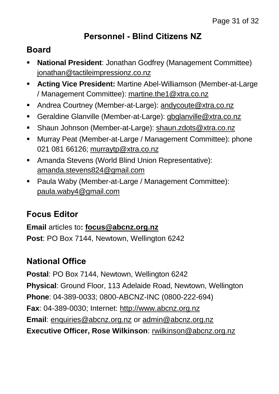#### **Personnel - Blind Citizens NZ**

#### **Board**

- **National President**: Jonathan Godfrey (Management Committee) [jonathan@tactileimpressionz.co.nz](mailto:jonathan@tactileimpressionz.co.nz)
- **Acting Vice President:** Martine Abel-Williamson (Member-at-Large / Management Committee): [martine.the1@xtra.co.nz](mailto:martine.the1@xtra.co.nz)
- Andrea Courtney (Member-at-Large): [andycoute@xtra.co.nz](mailto:andycoute@xtra.co.nz)
- Geraldine Glanville (Member-at-Large): [gbglanville@xtra.co.nz](mailto:gbglanville@xtra.co.nz)
- Shaun Johnson (Member-at-Large): [shaun.zdots@xtra.co.nz](mailto:shaun.zdots@xtra.co.nz%20co.nz)
- Murray Peat (Member-at-Large / Management Committee): phone 021 081 66126; [murraytp@xtra.co.nz](mailto:murraytp@xtra.co.nz)
- Amanda Stevens (World Blind Union Representative): [amanda.stevens824@gmail.com](mailto:amanda.stevens824@gmail.com)
- Paula Waby (Member-at-Large / Management Committee): [paula.waby4@gmail.com](mailto:paula.waby4@gmail.com)

## **Focus Editor**

**Email** articles to**: [focus@abcnz.org.nz](mailto:focus@abcnz.org.nz) Post**: PO Box 7144, Newtown, Wellington 6242

## **National Office**

**Postal**: PO Box 7144, Newtown, Wellington 6242 **Physical**: Ground Floor, 113 Adelaide Road, Newtown, Wellington **Phone**: 04-389-0033; 0800-ABCNZ-INC (0800-222-694) **Fax**: 04-389-0030; Internet: [http://www.abcnz.org.nz](http://www.abcnz.org.nz/) **Email**: [enquiries@abcnz.org.nz](mailto:enquiries@abcnz.org.nz) or [admin@abcnz.org.nz](mailto:admin@abcnz.org.nz) **Executive Officer, Rose Wilkinson**: [rwilkinson@abcnz.org.nz](mailto:rwilkinson@abcnz.org.nz)